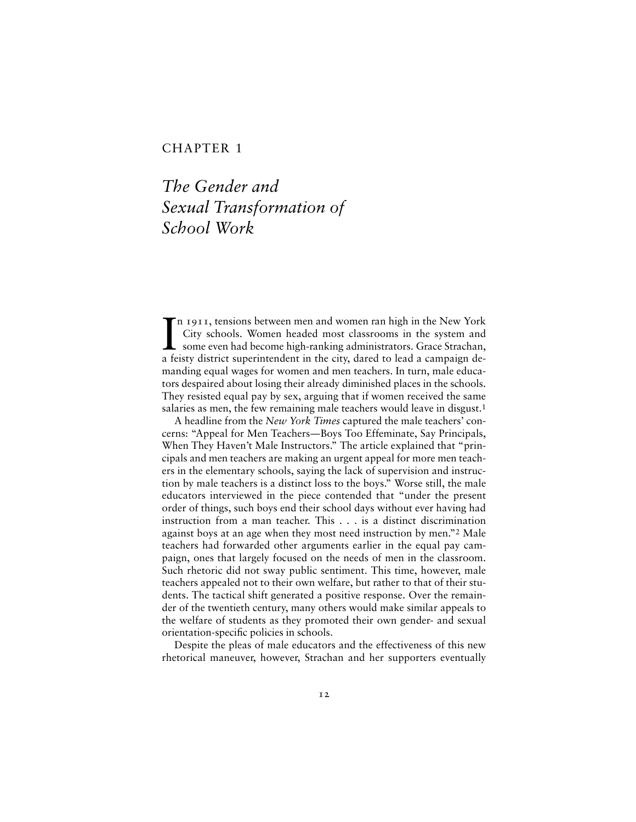# CHAPTER 1

*The Gender and Sexual Transformation of School Work*

In 1911, tensions between men and women ran high in the New York City schools. Women headed most classrooms in the system and some even had become high-ranking administrators. Grace Strachan, a feisty district superintende n 1911, tensions between men and women ran high in the New York City schools. Women headed most classrooms in the system and some even had become high-ranking administrators. Grace Strachan, manding equal wages for women and men teachers. In turn, male educators despaired about losing their already diminished places in the schools. They resisted equal pay by sex, arguing that if women received the same salaries as men, the few remaining male teachers would leave in disgust.<sup>1</sup>

A headline from the *New York Times* captured the male teachers' concerns: "Appeal for Men Teachers—Boys Too Effeminate, Say Principals, When They Haven't Male Instructors." The article explained that "principals and men teachers are making an urgent appeal for more men teachers in the elementary schools, saying the lack of supervision and instruction by male teachers is a distinct loss to the boys." Worse still, the male educators interviewed in the piece contended that "under the present order of things, such boys end their school days without ever having had instruction from a man teacher. This . . . is a distinct discrimination against boys at an age when they most need instruction by men."2 Male teachers had forwarded other arguments earlier in the equal pay campaign, ones that largely focused on the needs of men in the classroom. Such rhetoric did not sway public sentiment. This time, however, male teachers appealed not to their own welfare, but rather to that of their students. The tactical shift generated a positive response. Over the remainder of the twentieth century, many others would make similar appeals to the welfare of students as they promoted their own gender- and sexual orientation-specific policies in schools.

Despite the pleas of male educators and the effectiveness of this new rhetorical maneuver, however, Strachan and her supporters eventually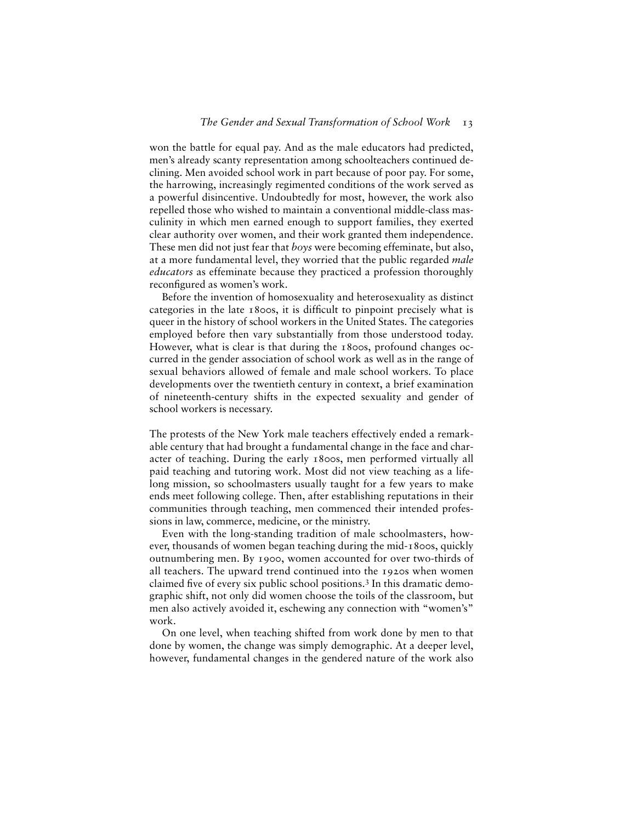won the battle for equal pay. And as the male educators had predicted, men's already scanty representation among schoolteachers continued declining. Men avoided school work in part because of poor pay. For some, the harrowing, increasingly regimented conditions of the work served as a powerful disincentive. Undoubtedly for most, however, the work also repelled those who wished to maintain a conventional middle-class masculinity in which men earned enough to support families, they exerted clear authority over women, and their work granted them independence. These men did not just fear that *boys* were becoming effeminate, but also, at a more fundamental level, they worried that the public regarded *male educators* as effeminate because they practiced a profession thoroughly reconfigured as women's work.

Before the invention of homosexuality and heterosexuality as distinct categories in the late 1800s, it is difficult to pinpoint precisely what is queer in the history of school workers in the United States. The categories employed before then vary substantially from those understood today. However, what is clear is that during the 1800s, profound changes occurred in the gender association of school work as well as in the range of sexual behaviors allowed of female and male school workers. To place developments over the twentieth century in context, a brief examination of nineteenth-century shifts in the expected sexuality and gender of school workers is necessary.

The protests of the New York male teachers effectively ended a remarkable century that had brought a fundamental change in the face and character of teaching. During the early 1800s, men performed virtually all paid teaching and tutoring work. Most did not view teaching as a lifelong mission, so schoolmasters usually taught for a few years to make ends meet following college. Then, after establishing reputations in their communities through teaching, men commenced their intended professions in law, commerce, medicine, or the ministry.

Even with the long-standing tradition of male schoolmasters, however, thousands of women began teaching during the mid-1800s, quickly outnumbering men. By 1900, women accounted for over two-thirds of all teachers. The upward trend continued into the 1920s when women claimed five of every six public school positions.3 In this dramatic demographic shift, not only did women choose the toils of the classroom, but men also actively avoided it, eschewing any connection with "women's" work.

On one level, when teaching shifted from work done by men to that done by women, the change was simply demographic. At a deeper level, however, fundamental changes in the gendered nature of the work also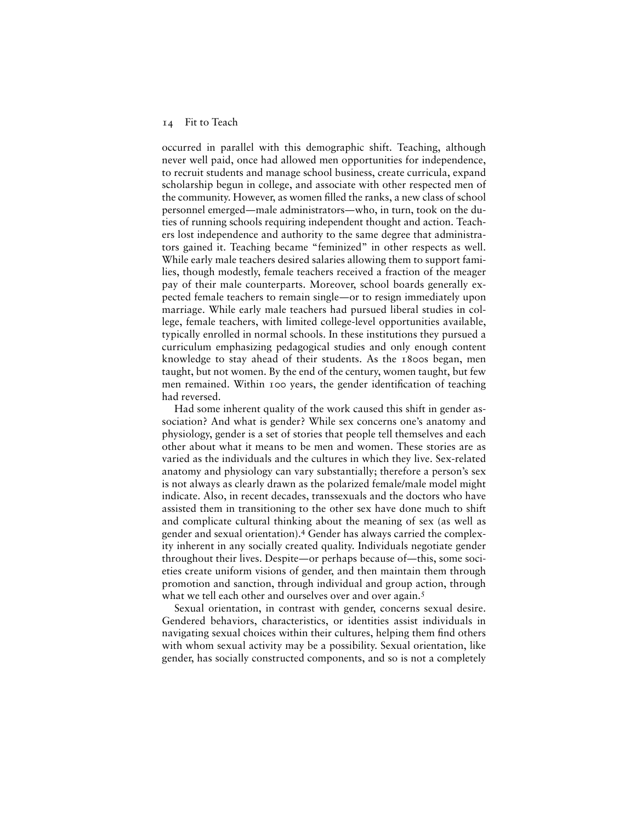occurred in parallel with this demographic shift. Teaching, although never well paid, once had allowed men opportunities for independence, to recruit students and manage school business, create curricula, expand scholarship begun in college, and associate with other respected men of the community. However, as women filled the ranks, a new class of school personnel emerged—male administrators—who, in turn, took on the duties of running schools requiring independent thought and action. Teachers lost independence and authority to the same degree that administrators gained it. Teaching became "feminized" in other respects as well. While early male teachers desired salaries allowing them to support families, though modestly, female teachers received a fraction of the meager pay of their male counterparts. Moreover, school boards generally expected female teachers to remain single—or to resign immediately upon marriage. While early male teachers had pursued liberal studies in college, female teachers, with limited college-level opportunities available, typically enrolled in normal schools. In these institutions they pursued a curriculum emphasizing pedagogical studies and only enough content knowledge to stay ahead of their students. As the 1800s began, men taught, but not women. By the end of the century, women taught, but few men remained. Within 100 years, the gender identification of teaching had reversed.

Had some inherent quality of the work caused this shift in gender association? And what is gender? While sex concerns one's anatomy and physiology, gender is a set of stories that people tell themselves and each other about what it means to be men and women. These stories are as varied as the individuals and the cultures in which they live. Sex-related anatomy and physiology can vary substantially; therefore a person's sex is not always as clearly drawn as the polarized female/male model might indicate. Also, in recent decades, transsexuals and the doctors who have assisted them in transitioning to the other sex have done much to shift and complicate cultural thinking about the meaning of sex (as well as gender and sexual orientation).4 Gender has always carried the complexity inherent in any socially created quality. Individuals negotiate gender throughout their lives. Despite—or perhaps because of—this, some societies create uniform visions of gender, and then maintain them through promotion and sanction, through individual and group action, through what we tell each other and ourselves over and over again.<sup>5</sup>

Sexual orientation, in contrast with gender, concerns sexual desire. Gendered behaviors, characteristics, or identities assist individuals in navigating sexual choices within their cultures, helping them find others with whom sexual activity may be a possibility. Sexual orientation, like gender, has socially constructed components, and so is not a completely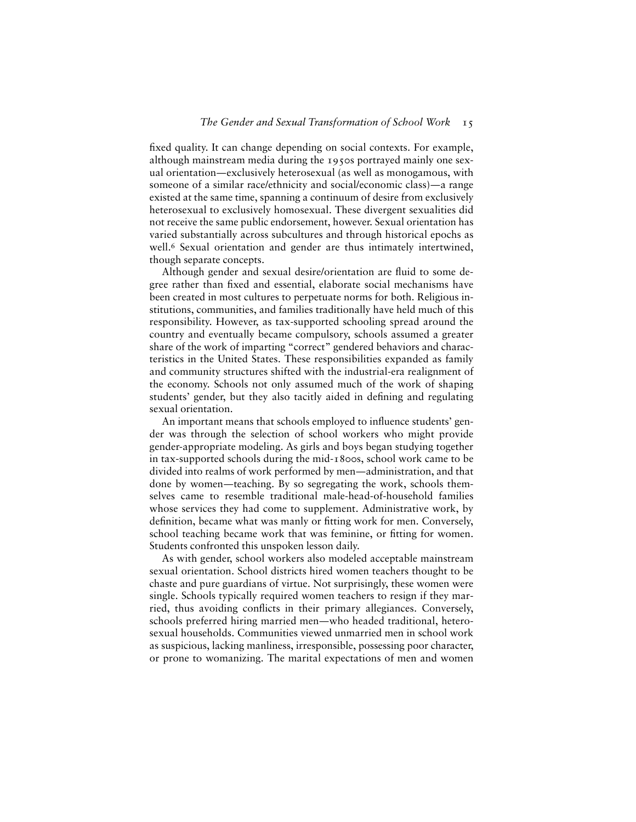fixed quality. It can change depending on social contexts. For example, although mainstream media during the 1950s portrayed mainly one sexual orientation—exclusively heterosexual (as well as monogamous, with someone of a similar race/ethnicity and social/economic class)—a range existed at the same time, spanning a continuum of desire from exclusively heterosexual to exclusively homosexual. These divergent sexualities did not receive the same public endorsement, however. Sexual orientation has varied substantially across subcultures and through historical epochs as well.6 Sexual orientation and gender are thus intimately intertwined, though separate concepts.

Although gender and sexual desire/orientation are fluid to some degree rather than fixed and essential, elaborate social mechanisms have been created in most cultures to perpetuate norms for both. Religious institutions, communities, and families traditionally have held much of this responsibility. However, as tax-supported schooling spread around the country and eventually became compulsory, schools assumed a greater share of the work of imparting "correct" gendered behaviors and characteristics in the United States. These responsibilities expanded as family and community structures shifted with the industrial-era realignment of the economy. Schools not only assumed much of the work of shaping students' gender, but they also tacitly aided in defining and regulating sexual orientation.

An important means that schools employed to influence students' gender was through the selection of school workers who might provide gender-appropriate modeling. As girls and boys began studying together in tax-supported schools during the mid-1800s, school work came to be divided into realms of work performed by men—administration, and that done by women—teaching. By so segregating the work, schools themselves came to resemble traditional male-head-of-household families whose services they had come to supplement. Administrative work, by definition, became what was manly or fitting work for men. Conversely, school teaching became work that was feminine, or fitting for women. Students confronted this unspoken lesson daily.

As with gender, school workers also modeled acceptable mainstream sexual orientation. School districts hired women teachers thought to be chaste and pure guardians of virtue. Not surprisingly, these women were single. Schools typically required women teachers to resign if they married, thus avoiding conflicts in their primary allegiances. Conversely, schools preferred hiring married men—who headed traditional, heterosexual households. Communities viewed unmarried men in school work as suspicious, lacking manliness, irresponsible, possessing poor character, or prone to womanizing. The marital expectations of men and women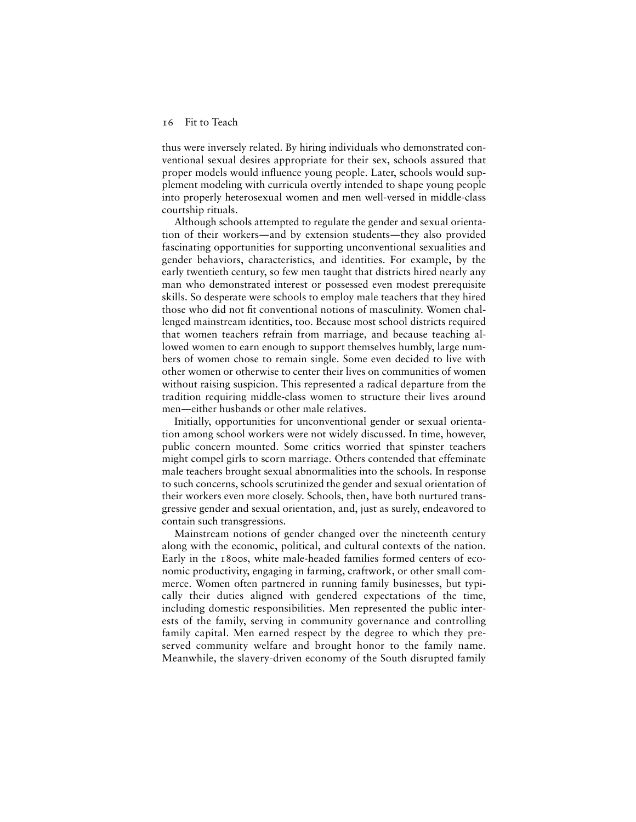thus were inversely related. By hiring individuals who demonstrated conventional sexual desires appropriate for their sex, schools assured that proper models would influence young people. Later, schools would supplement modeling with curricula overtly intended to shape young people into properly heterosexual women and men well-versed in middle-class courtship rituals.

Although schools attempted to regulate the gender and sexual orientation of their workers—and by extension students—they also provided fascinating opportunities for supporting unconventional sexualities and gender behaviors, characteristics, and identities. For example, by the early twentieth century, so few men taught that districts hired nearly any man who demonstrated interest or possessed even modest prerequisite skills. So desperate were schools to employ male teachers that they hired those who did not fit conventional notions of masculinity. Women challenged mainstream identities, too. Because most school districts required that women teachers refrain from marriage, and because teaching allowed women to earn enough to support themselves humbly, large numbers of women chose to remain single. Some even decided to live with other women or otherwise to center their lives on communities of women without raising suspicion. This represented a radical departure from the tradition requiring middle-class women to structure their lives around men—either husbands or other male relatives.

Initially, opportunities for unconventional gender or sexual orientation among school workers were not widely discussed. In time, however, public concern mounted. Some critics worried that spinster teachers might compel girls to scorn marriage. Others contended that effeminate male teachers brought sexual abnormalities into the schools. In response to such concerns, schools scrutinized the gender and sexual orientation of their workers even more closely. Schools, then, have both nurtured transgressive gender and sexual orientation, and, just as surely, endeavored to contain such transgressions.

Mainstream notions of gender changed over the nineteenth century along with the economic, political, and cultural contexts of the nation. Early in the 1800s, white male-headed families formed centers of economic productivity, engaging in farming, craftwork, or other small commerce. Women often partnered in running family businesses, but typically their duties aligned with gendered expectations of the time, including domestic responsibilities. Men represented the public interests of the family, serving in community governance and controlling family capital. Men earned respect by the degree to which they preserved community welfare and brought honor to the family name. Meanwhile, the slavery-driven economy of the South disrupted family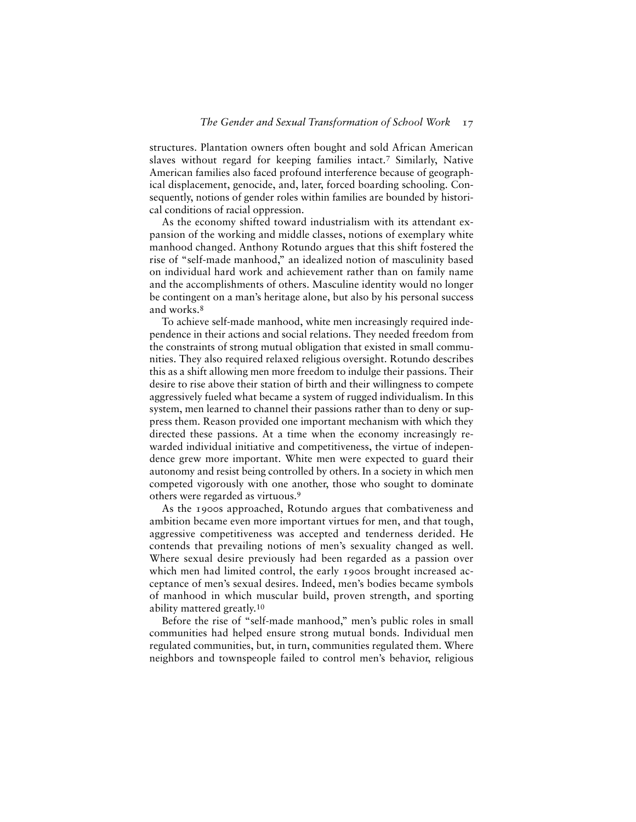structures. Plantation owners often bought and sold African American slaves without regard for keeping families intact.7 Similarly, Native American families also faced profound interference because of geographical displacement, genocide, and, later, forced boarding schooling. Consequently, notions of gender roles within families are bounded by historical conditions of racial oppression.

As the economy shifted toward industrialism with its attendant expansion of the working and middle classes, notions of exemplary white manhood changed. Anthony Rotundo argues that this shift fostered the rise of "self-made manhood," an idealized notion of masculinity based on individual hard work and achievement rather than on family name and the accomplishments of others. Masculine identity would no longer be contingent on a man's heritage alone, but also by his personal success and works.8

To achieve self-made manhood, white men increasingly required independence in their actions and social relations. They needed freedom from the constraints of strong mutual obligation that existed in small communities. They also required relaxed religious oversight. Rotundo describes this as a shift allowing men more freedom to indulge their passions. Their desire to rise above their station of birth and their willingness to compete aggressively fueled what became a system of rugged individualism. In this system, men learned to channel their passions rather than to deny or suppress them. Reason provided one important mechanism with which they directed these passions. At a time when the economy increasingly rewarded individual initiative and competitiveness, the virtue of independence grew more important. White men were expected to guard their autonomy and resist being controlled by others. In a society in which men competed vigorously with one another, those who sought to dominate others were regarded as virtuous.9

As the 1900s approached, Rotundo argues that combativeness and ambition became even more important virtues for men, and that tough, aggressive competitiveness was accepted and tenderness derided. He contends that prevailing notions of men's sexuality changed as well. Where sexual desire previously had been regarded as a passion over which men had limited control, the early 1900s brought increased acceptance of men's sexual desires. Indeed, men's bodies became symbols of manhood in which muscular build, proven strength, and sporting ability mattered greatly.10

Before the rise of "self-made manhood," men's public roles in small communities had helped ensure strong mutual bonds. Individual men regulated communities, but, in turn, communities regulated them. Where neighbors and townspeople failed to control men's behavior, religious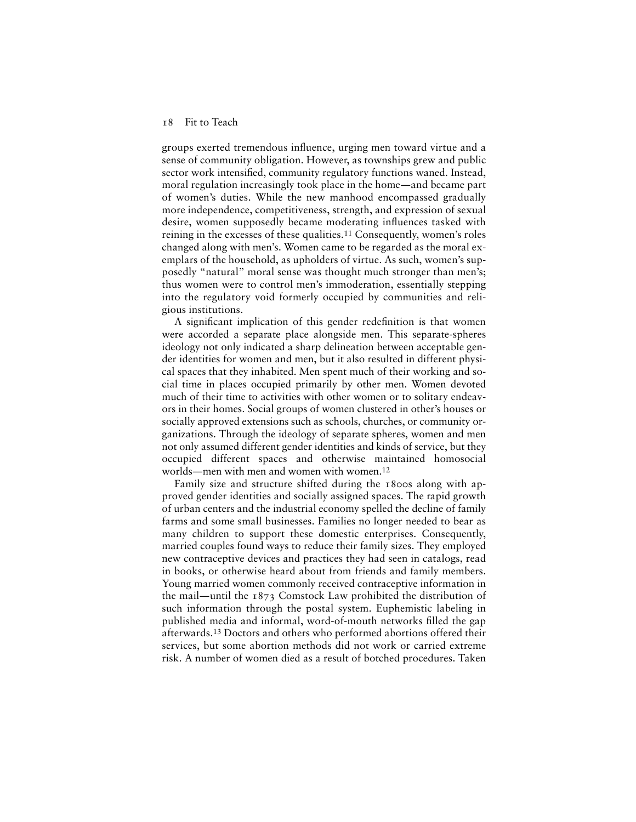groups exerted tremendous influence, urging men toward virtue and a sense of community obligation. However, as townships grew and public sector work intensified, community regulatory functions waned. Instead, moral regulation increasingly took place in the home—and became part of women's duties. While the new manhood encompassed gradually more independence, competitiveness, strength, and expression of sexual desire, women supposedly became moderating influences tasked with reining in the excesses of these qualities.11 Consequently, women's roles changed along with men's. Women came to be regarded as the moral exemplars of the household, as upholders of virtue. As such, women's supposedly "natural" moral sense was thought much stronger than men's; thus women were to control men's immoderation, essentially stepping into the regulatory void formerly occupied by communities and religious institutions.

A significant implication of this gender redefinition is that women were accorded a separate place alongside men. This separate-spheres ideology not only indicated a sharp delineation between acceptable gender identities for women and men, but it also resulted in different physical spaces that they inhabited. Men spent much of their working and social time in places occupied primarily by other men. Women devoted much of their time to activities with other women or to solitary endeavors in their homes. Social groups of women clustered in other's houses or socially approved extensions such as schools, churches, or community organizations. Through the ideology of separate spheres, women and men not only assumed different gender identities and kinds of service, but they occupied different spaces and otherwise maintained homosocial worlds—men with men and women with women.12

Family size and structure shifted during the 1800s along with approved gender identities and socially assigned spaces. The rapid growth of urban centers and the industrial economy spelled the decline of family farms and some small businesses. Families no longer needed to bear as many children to support these domestic enterprises. Consequently, married couples found ways to reduce their family sizes. They employed new contraceptive devices and practices they had seen in catalogs, read in books, or otherwise heard about from friends and family members. Young married women commonly received contraceptive information in the mail—until the 1873 Comstock Law prohibited the distribution of such information through the postal system. Euphemistic labeling in published media and informal, word-of-mouth networks filled the gap afterwards.13 Doctors and others who performed abortions offered their services, but some abortion methods did not work or carried extreme risk. A number of women died as a result of botched procedures. Taken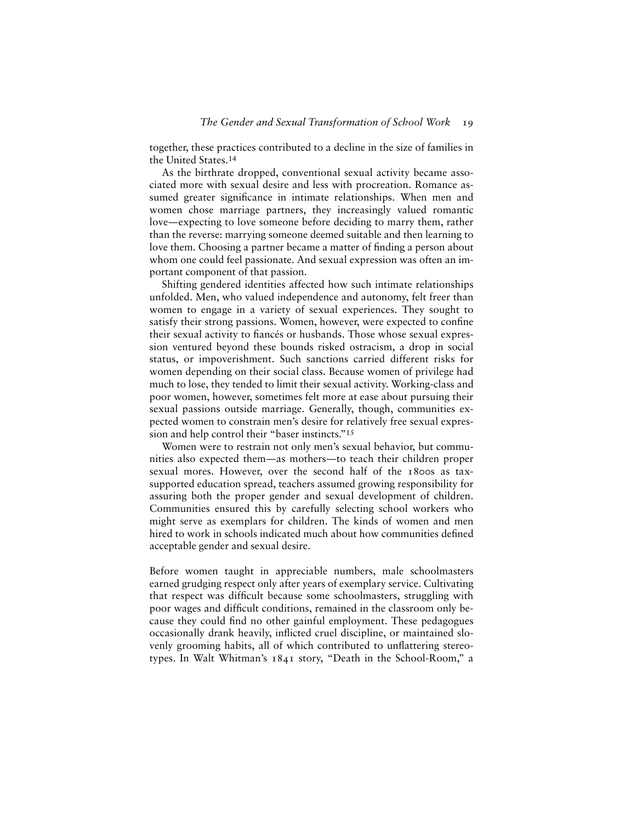together, these practices contributed to a decline in the size of families in the United States.14

As the birthrate dropped, conventional sexual activity became associated more with sexual desire and less with procreation. Romance assumed greater significance in intimate relationships. When men and women chose marriage partners, they increasingly valued romantic love—expecting to love someone before deciding to marry them, rather than the reverse: marrying someone deemed suitable and then learning to love them. Choosing a partner became a matter of finding a person about whom one could feel passionate. And sexual expression was often an important component of that passion.

Shifting gendered identities affected how such intimate relationships unfolded. Men, who valued independence and autonomy, felt freer than women to engage in a variety of sexual experiences. They sought to satisfy their strong passions. Women, however, were expected to confine their sexual activity to fiancés or husbands. Those whose sexual expression ventured beyond these bounds risked ostracism, a drop in social status, or impoverishment. Such sanctions carried different risks for women depending on their social class. Because women of privilege had much to lose, they tended to limit their sexual activity. Working-class and poor women, however, sometimes felt more at ease about pursuing their sexual passions outside marriage. Generally, though, communities expected women to constrain men's desire for relatively free sexual expression and help control their "baser instincts."15

Women were to restrain not only men's sexual behavior, but communities also expected them—as mothers—to teach their children proper sexual mores. However, over the second half of the 1800s as taxsupported education spread, teachers assumed growing responsibility for assuring both the proper gender and sexual development of children. Communities ensured this by carefully selecting school workers who might serve as exemplars for children. The kinds of women and men hired to work in schools indicated much about how communities defined acceptable gender and sexual desire.

Before women taught in appreciable numbers, male schoolmasters earned grudging respect only after years of exemplary service. Cultivating that respect was difficult because some schoolmasters, struggling with poor wages and difficult conditions, remained in the classroom only because they could find no other gainful employment. These pedagogues occasionally drank heavily, inflicted cruel discipline, or maintained slovenly grooming habits, all of which contributed to unflattering stereotypes. In Walt Whitman's 1841 story, "Death in the School-Room," a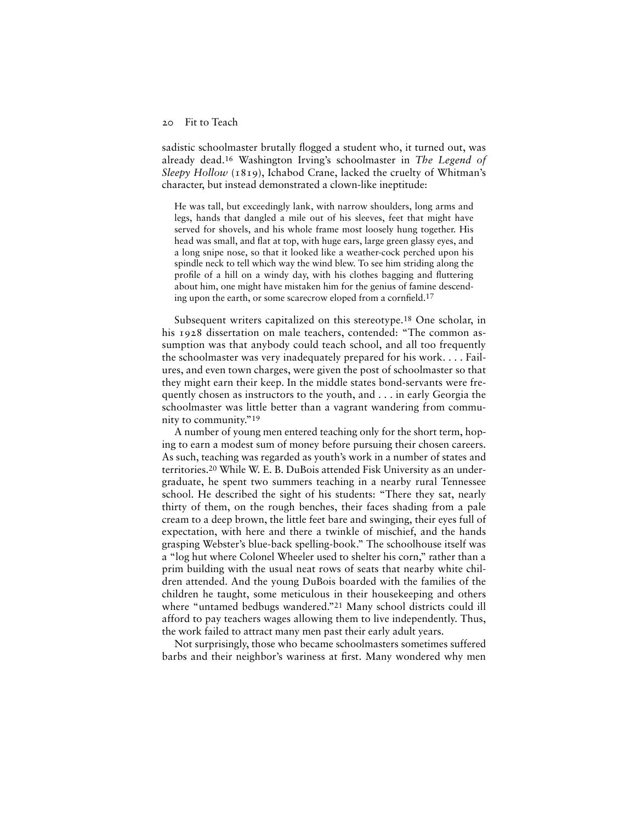sadistic schoolmaster brutally flogged a student who, it turned out, was already dead.16 Washington Irving's schoolmaster in *The Legend of Sleepy Hollow* (1819), Ichabod Crane, lacked the cruelty of Whitman's character, but instead demonstrated a clown-like ineptitude:

He was tall, but exceedingly lank, with narrow shoulders, long arms and legs, hands that dangled a mile out of his sleeves, feet that might have served for shovels, and his whole frame most loosely hung together. His head was small, and flat at top, with huge ears, large green glassy eyes, and a long snipe nose, so that it looked like a weather-cock perched upon his spindle neck to tell which way the wind blew. To see him striding along the profile of a hill on a windy day, with his clothes bagging and fluttering about him, one might have mistaken him for the genius of famine descending upon the earth, or some scarecrow eloped from a cornfield.17

Subsequent writers capitalized on this stereotype.18 One scholar, in his 1928 dissertation on male teachers, contended: "The common assumption was that anybody could teach school, and all too frequently the schoolmaster was very inadequately prepared for his work. . . . Failures, and even town charges, were given the post of schoolmaster so that they might earn their keep. In the middle states bond-servants were frequently chosen as instructors to the youth, and . . . in early Georgia the schoolmaster was little better than a vagrant wandering from community to community."19

A number of young men entered teaching only for the short term, hoping to earn a modest sum of money before pursuing their chosen careers. As such, teaching was regarded as youth's work in a number of states and territories.20 While W. E. B. DuBois attended Fisk University as an undergraduate, he spent two summers teaching in a nearby rural Tennessee school. He described the sight of his students: "There they sat, nearly thirty of them, on the rough benches, their faces shading from a pale cream to a deep brown, the little feet bare and swinging, their eyes full of expectation, with here and there a twinkle of mischief, and the hands grasping Webster's blue-back spelling-book." The schoolhouse itself was a "log hut where Colonel Wheeler used to shelter his corn," rather than a prim building with the usual neat rows of seats that nearby white children attended. And the young DuBois boarded with the families of the children he taught, some meticulous in their housekeeping and others where "untamed bedbugs wandered."21 Many school districts could ill afford to pay teachers wages allowing them to live independently. Thus, the work failed to attract many men past their early adult years.

Not surprisingly, those who became schoolmasters sometimes suffered barbs and their neighbor's wariness at first. Many wondered why men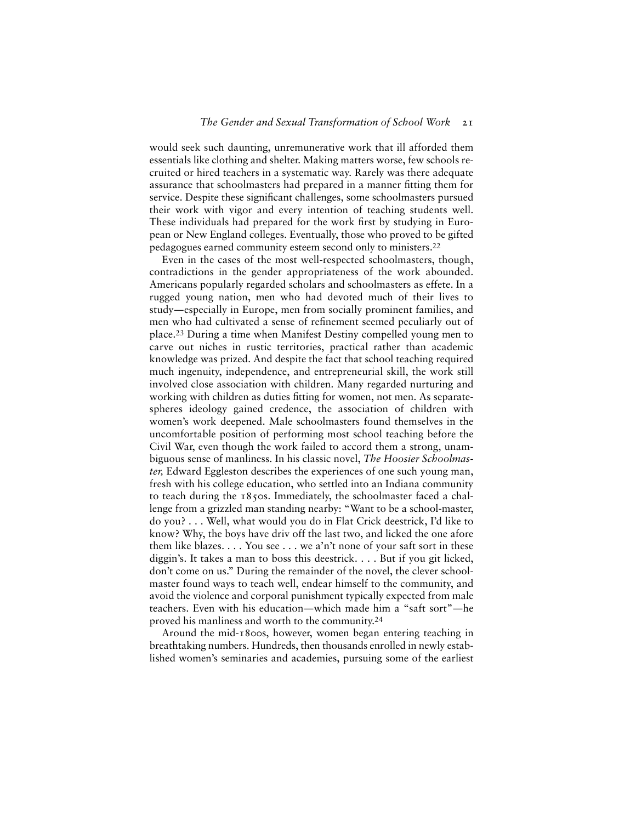would seek such daunting, unremunerative work that ill afforded them essentials like clothing and shelter. Making matters worse, few schools recruited or hired teachers in a systematic way. Rarely was there adequate assurance that schoolmasters had prepared in a manner fitting them for service. Despite these significant challenges, some schoolmasters pursued their work with vigor and every intention of teaching students well. These individuals had prepared for the work first by studying in European or New England colleges. Eventually, those who proved to be gifted pedagogues earned community esteem second only to ministers.22

Even in the cases of the most well-respected schoolmasters, though, contradictions in the gender appropriateness of the work abounded. Americans popularly regarded scholars and schoolmasters as effete. In a rugged young nation, men who had devoted much of their lives to study—especially in Europe, men from socially prominent families, and men who had cultivated a sense of refinement seemed peculiarly out of place.23 During a time when Manifest Destiny compelled young men to carve out niches in rustic territories, practical rather than academic knowledge was prized. And despite the fact that school teaching required much ingenuity, independence, and entrepreneurial skill, the work still involved close association with children. Many regarded nurturing and working with children as duties fitting for women, not men. As separatespheres ideology gained credence, the association of children with women's work deepened. Male schoolmasters found themselves in the uncomfortable position of performing most school teaching before the Civil War, even though the work failed to accord them a strong, unambiguous sense of manliness. In his classic novel, *The Hoosier Schoolmaster,* Edward Eggleston describes the experiences of one such young man, fresh with his college education, who settled into an Indiana community to teach during the 1850s. Immediately, the schoolmaster faced a challenge from a grizzled man standing nearby: "Want to be a school-master, do you? . . . Well, what would you do in Flat Crick deestrick, I'd like to know? Why, the boys have driv off the last two, and licked the one afore them like blazes. . . . You see . . . we a'n't none of your saft sort in these diggin's. It takes a man to boss this deestrick. . . . But if you git licked, don't come on us." During the remainder of the novel, the clever schoolmaster found ways to teach well, endear himself to the community, and avoid the violence and corporal punishment typically expected from male teachers. Even with his education—which made him a "saft sort"—he proved his manliness and worth to the community.24

Around the mid-1800s, however, women began entering teaching in breathtaking numbers. Hundreds, then thousands enrolled in newly established women's seminaries and academies, pursuing some of the earliest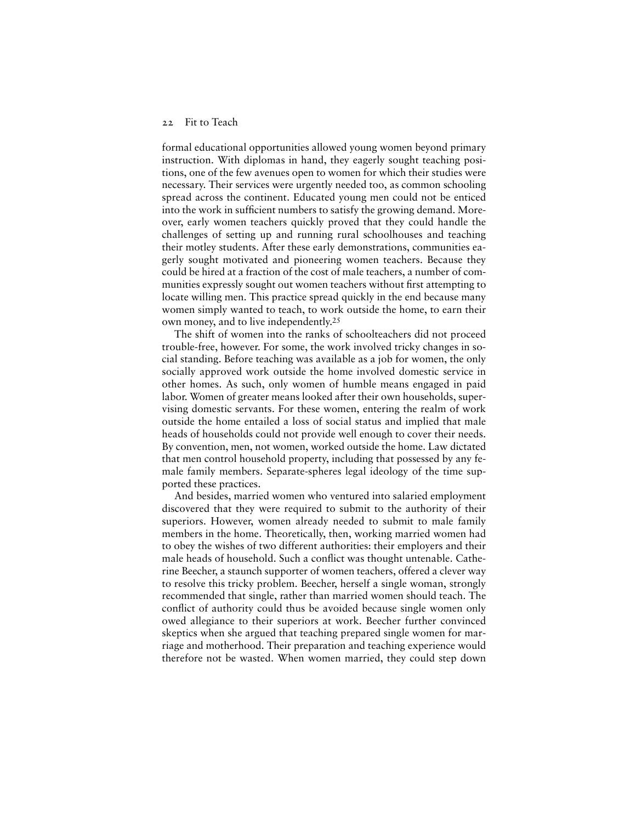formal educational opportunities allowed young women beyond primary instruction. With diplomas in hand, they eagerly sought teaching positions, one of the few avenues open to women for which their studies were necessary. Their services were urgently needed too, as common schooling spread across the continent. Educated young men could not be enticed into the work in sufficient numbers to satisfy the growing demand. Moreover, early women teachers quickly proved that they could handle the challenges of setting up and running rural schoolhouses and teaching their motley students. After these early demonstrations, communities eagerly sought motivated and pioneering women teachers. Because they could be hired at a fraction of the cost of male teachers, a number of communities expressly sought out women teachers without first attempting to locate willing men. This practice spread quickly in the end because many women simply wanted to teach, to work outside the home, to earn their own money, and to live independently.25

The shift of women into the ranks of schoolteachers did not proceed trouble-free, however. For some, the work involved tricky changes in social standing. Before teaching was available as a job for women, the only socially approved work outside the home involved domestic service in other homes. As such, only women of humble means engaged in paid labor. Women of greater means looked after their own households, supervising domestic servants. For these women, entering the realm of work outside the home entailed a loss of social status and implied that male heads of households could not provide well enough to cover their needs. By convention, men, not women, worked outside the home. Law dictated that men control household property, including that possessed by any female family members. Separate-spheres legal ideology of the time supported these practices.

And besides, married women who ventured into salaried employment discovered that they were required to submit to the authority of their superiors. However, women already needed to submit to male family members in the home. Theoretically, then, working married women had to obey the wishes of two different authorities: their employers and their male heads of household. Such a conflict was thought untenable. Catherine Beecher, a staunch supporter of women teachers, offered a clever way to resolve this tricky problem. Beecher, herself a single woman, strongly recommended that single, rather than married women should teach. The conflict of authority could thus be avoided because single women only owed allegiance to their superiors at work. Beecher further convinced skeptics when she argued that teaching prepared single women for marriage and motherhood. Their preparation and teaching experience would therefore not be wasted. When women married, they could step down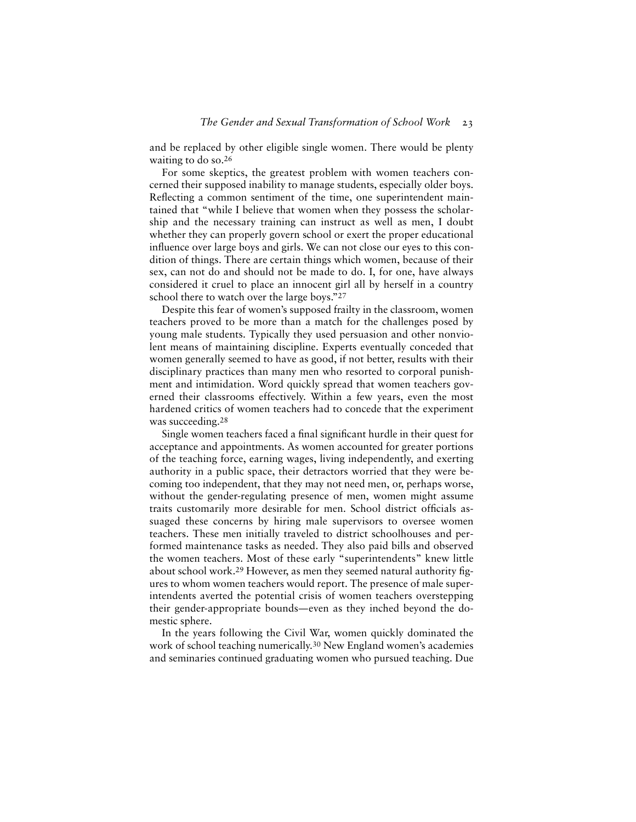and be replaced by other eligible single women. There would be plenty waiting to do so.26

For some skeptics, the greatest problem with women teachers concerned their supposed inability to manage students, especially older boys. Reflecting a common sentiment of the time, one superintendent maintained that "while I believe that women when they possess the scholarship and the necessary training can instruct as well as men, I doubt whether they can properly govern school or exert the proper educational influence over large boys and girls. We can not close our eyes to this condition of things. There are certain things which women, because of their sex, can not do and should not be made to do. I, for one, have always considered it cruel to place an innocent girl all by herself in a country school there to watch over the large boys."27

Despite this fear of women's supposed frailty in the classroom, women teachers proved to be more than a match for the challenges posed by young male students. Typically they used persuasion and other nonviolent means of maintaining discipline. Experts eventually conceded that women generally seemed to have as good, if not better, results with their disciplinary practices than many men who resorted to corporal punishment and intimidation. Word quickly spread that women teachers governed their classrooms effectively. Within a few years, even the most hardened critics of women teachers had to concede that the experiment was succeeding.28

Single women teachers faced a final significant hurdle in their quest for acceptance and appointments. As women accounted for greater portions of the teaching force, earning wages, living independently, and exerting authority in a public space, their detractors worried that they were becoming too independent, that they may not need men, or, perhaps worse, without the gender-regulating presence of men, women might assume traits customarily more desirable for men. School district officials assuaged these concerns by hiring male supervisors to oversee women teachers. These men initially traveled to district schoolhouses and performed maintenance tasks as needed. They also paid bills and observed the women teachers. Most of these early "superintendents" knew little about school work.29 However, as men they seemed natural authority figures to whom women teachers would report. The presence of male superintendents averted the potential crisis of women teachers overstepping their gender-appropriate bounds—even as they inched beyond the domestic sphere.

In the years following the Civil War, women quickly dominated the work of school teaching numerically.30 New England women's academies and seminaries continued graduating women who pursued teaching. Due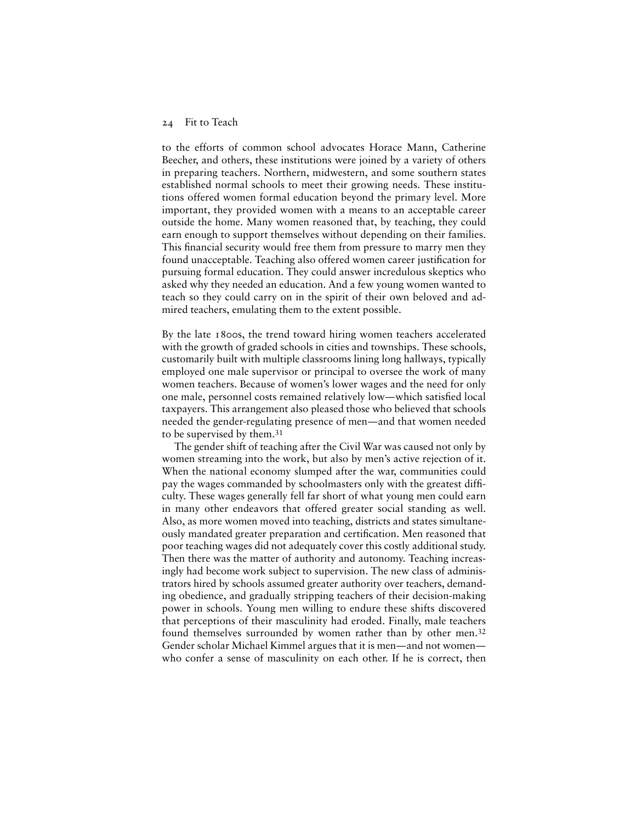to the efforts of common school advocates Horace Mann, Catherine Beecher, and others, these institutions were joined by a variety of others in preparing teachers. Northern, midwestern, and some southern states established normal schools to meet their growing needs. These institutions offered women formal education beyond the primary level. More important, they provided women with a means to an acceptable career outside the home. Many women reasoned that, by teaching, they could earn enough to support themselves without depending on their families. This financial security would free them from pressure to marry men they found unacceptable. Teaching also offered women career justification for pursuing formal education. They could answer incredulous skeptics who asked why they needed an education. And a few young women wanted to teach so they could carry on in the spirit of their own beloved and admired teachers, emulating them to the extent possible.

By the late 1800s, the trend toward hiring women teachers accelerated with the growth of graded schools in cities and townships. These schools, customarily built with multiple classrooms lining long hallways, typically employed one male supervisor or principal to oversee the work of many women teachers. Because of women's lower wages and the need for only one male, personnel costs remained relatively low—which satisfied local taxpayers. This arrangement also pleased those who believed that schools needed the gender-regulating presence of men—and that women needed to be supervised by them.31

The gender shift of teaching after the Civil War was caused not only by women streaming into the work, but also by men's active rejection of it. When the national economy slumped after the war, communities could pay the wages commanded by schoolmasters only with the greatest difficulty. These wages generally fell far short of what young men could earn in many other endeavors that offered greater social standing as well. Also, as more women moved into teaching, districts and states simultaneously mandated greater preparation and certification. Men reasoned that poor teaching wages did not adequately cover this costly additional study. Then there was the matter of authority and autonomy. Teaching increasingly had become work subject to supervision. The new class of administrators hired by schools assumed greater authority over teachers, demanding obedience, and gradually stripping teachers of their decision-making power in schools. Young men willing to endure these shifts discovered that perceptions of their masculinity had eroded. Finally, male teachers found themselves surrounded by women rather than by other men.32 Gender scholar Michael Kimmel argues that it is men—and not women who confer a sense of masculinity on each other. If he is correct, then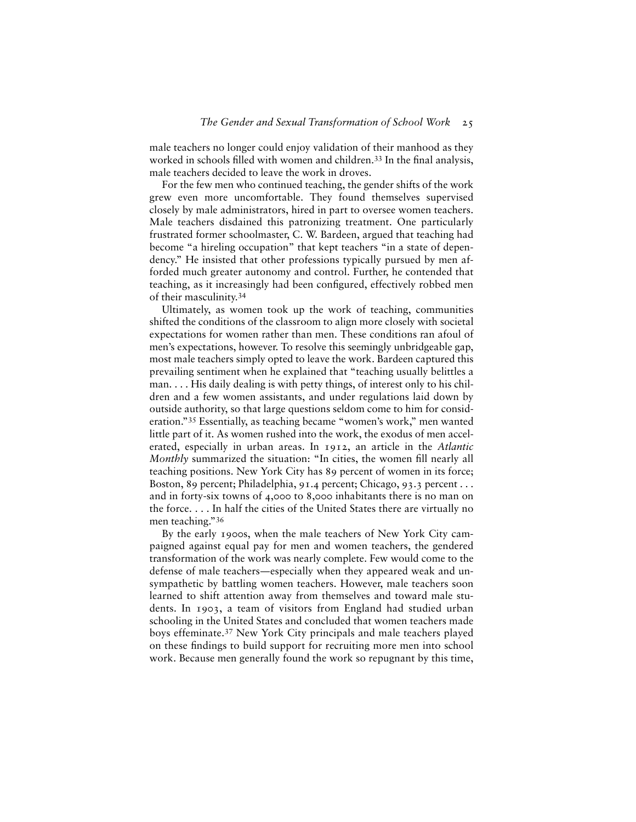male teachers no longer could enjoy validation of their manhood as they worked in schools filled with women and children.33 In the final analysis, male teachers decided to leave the work in droves.

For the few men who continued teaching, the gender shifts of the work grew even more uncomfortable. They found themselves supervised closely by male administrators, hired in part to oversee women teachers. Male teachers disdained this patronizing treatment. One particularly frustrated former schoolmaster, C. W. Bardeen, argued that teaching had become "a hireling occupation" that kept teachers "in a state of dependency." He insisted that other professions typically pursued by men afforded much greater autonomy and control. Further, he contended that teaching, as it increasingly had been configured, effectively robbed men of their masculinity.34

Ultimately, as women took up the work of teaching, communities shifted the conditions of the classroom to align more closely with societal expectations for women rather than men. These conditions ran afoul of men's expectations, however. To resolve this seemingly unbridgeable gap, most male teachers simply opted to leave the work. Bardeen captured this prevailing sentiment when he explained that "teaching usually belittles a man. . . . His daily dealing is with petty things, of interest only to his children and a few women assistants, and under regulations laid down by outside authority, so that large questions seldom come to him for consideration."35 Essentially, as teaching became "women's work," men wanted little part of it. As women rushed into the work, the exodus of men accelerated, especially in urban areas. In 1912, an article in the *Atlantic Monthly* summarized the situation: "In cities, the women fill nearly all teaching positions. New York City has 89 percent of women in its force; Boston, 89 percent; Philadelphia, 91.4 percent; Chicago, 93.3 percent . . . and in forty-six towns of 4,000 to 8,000 inhabitants there is no man on the force. . . . In half the cities of the United States there are virtually no men teaching."36

By the early 1900s, when the male teachers of New York City campaigned against equal pay for men and women teachers, the gendered transformation of the work was nearly complete. Few would come to the defense of male teachers—especially when they appeared weak and unsympathetic by battling women teachers. However, male teachers soon learned to shift attention away from themselves and toward male students. In 1903, a team of visitors from England had studied urban schooling in the United States and concluded that women teachers made boys effeminate.37 New York City principals and male teachers played on these findings to build support for recruiting more men into school work. Because men generally found the work so repugnant by this time,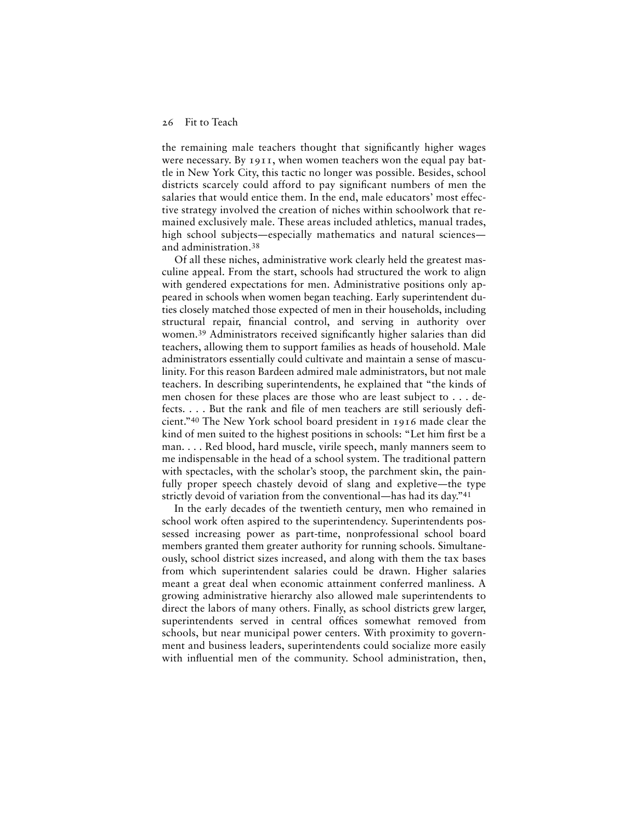the remaining male teachers thought that significantly higher wages were necessary. By 1911, when women teachers won the equal pay battle in New York City, this tactic no longer was possible. Besides, school districts scarcely could afford to pay significant numbers of men the salaries that would entice them. In the end, male educators' most effective strategy involved the creation of niches within schoolwork that remained exclusively male. These areas included athletics, manual trades, high school subjects—especially mathematics and natural sciences and administration.38

Of all these niches, administrative work clearly held the greatest masculine appeal. From the start, schools had structured the work to align with gendered expectations for men. Administrative positions only appeared in schools when women began teaching. Early superintendent duties closely matched those expected of men in their households, including structural repair, financial control, and serving in authority over women.39 Administrators received significantly higher salaries than did teachers, allowing them to support families as heads of household. Male administrators essentially could cultivate and maintain a sense of masculinity. For this reason Bardeen admired male administrators, but not male teachers. In describing superintendents, he explained that "the kinds of men chosen for these places are those who are least subject to . . . defects. . . . But the rank and file of men teachers are still seriously deficient."40 The New York school board president in 1916 made clear the kind of men suited to the highest positions in schools: "Let him first be a man. . . . Red blood, hard muscle, virile speech, manly manners seem to me indispensable in the head of a school system. The traditional pattern with spectacles, with the scholar's stoop, the parchment skin, the painfully proper speech chastely devoid of slang and expletive—the type strictly devoid of variation from the conventional—has had its day."41

In the early decades of the twentieth century, men who remained in school work often aspired to the superintendency. Superintendents possessed increasing power as part-time, nonprofessional school board members granted them greater authority for running schools. Simultaneously, school district sizes increased, and along with them the tax bases from which superintendent salaries could be drawn. Higher salaries meant a great deal when economic attainment conferred manliness. A growing administrative hierarchy also allowed male superintendents to direct the labors of many others. Finally, as school districts grew larger, superintendents served in central offices somewhat removed from schools, but near municipal power centers. With proximity to government and business leaders, superintendents could socialize more easily with influential men of the community. School administration, then,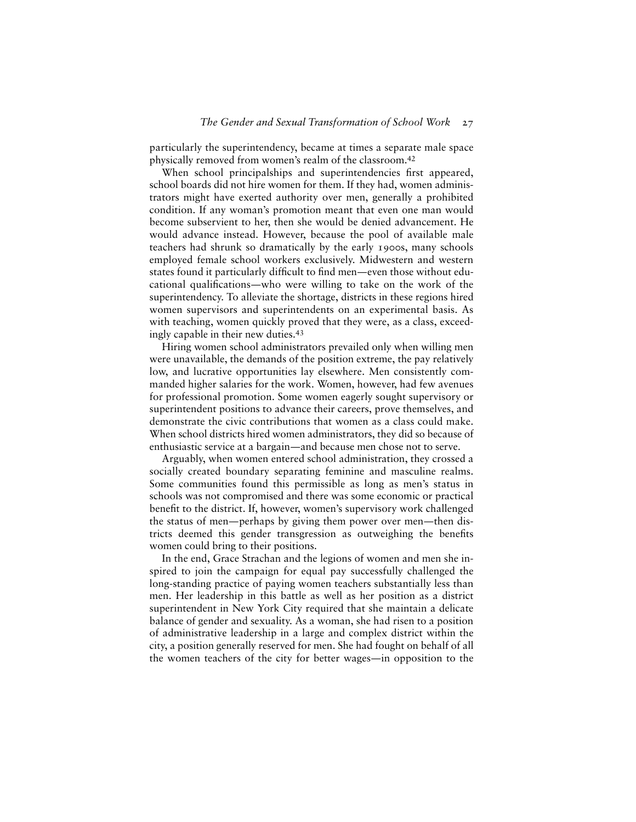particularly the superintendency, became at times a separate male space physically removed from women's realm of the classroom.42

When school principalships and superintendencies first appeared, school boards did not hire women for them. If they had, women administrators might have exerted authority over men, generally a prohibited condition. If any woman's promotion meant that even one man would become subservient to her, then she would be denied advancement. He would advance instead. However, because the pool of available male teachers had shrunk so dramatically by the early 1900s, many schools employed female school workers exclusively. Midwestern and western states found it particularly difficult to find men—even those without educational qualifications—who were willing to take on the work of the superintendency. To alleviate the shortage, districts in these regions hired women supervisors and superintendents on an experimental basis. As with teaching, women quickly proved that they were, as a class, exceedingly capable in their new duties.43

Hiring women school administrators prevailed only when willing men were unavailable, the demands of the position extreme, the pay relatively low, and lucrative opportunities lay elsewhere. Men consistently commanded higher salaries for the work. Women, however, had few avenues for professional promotion. Some women eagerly sought supervisory or superintendent positions to advance their careers, prove themselves, and demonstrate the civic contributions that women as a class could make. When school districts hired women administrators, they did so because of enthusiastic service at a bargain—and because men chose not to serve.

Arguably, when women entered school administration, they crossed a socially created boundary separating feminine and masculine realms. Some communities found this permissible as long as men's status in schools was not compromised and there was some economic or practical benefit to the district. If, however, women's supervisory work challenged the status of men—perhaps by giving them power over men—then districts deemed this gender transgression as outweighing the benefits women could bring to their positions.

In the end, Grace Strachan and the legions of women and men she inspired to join the campaign for equal pay successfully challenged the long-standing practice of paying women teachers substantially less than men. Her leadership in this battle as well as her position as a district superintendent in New York City required that she maintain a delicate balance of gender and sexuality. As a woman, she had risen to a position of administrative leadership in a large and complex district within the city, a position generally reserved for men. She had fought on behalf of all the women teachers of the city for better wages—in opposition to the